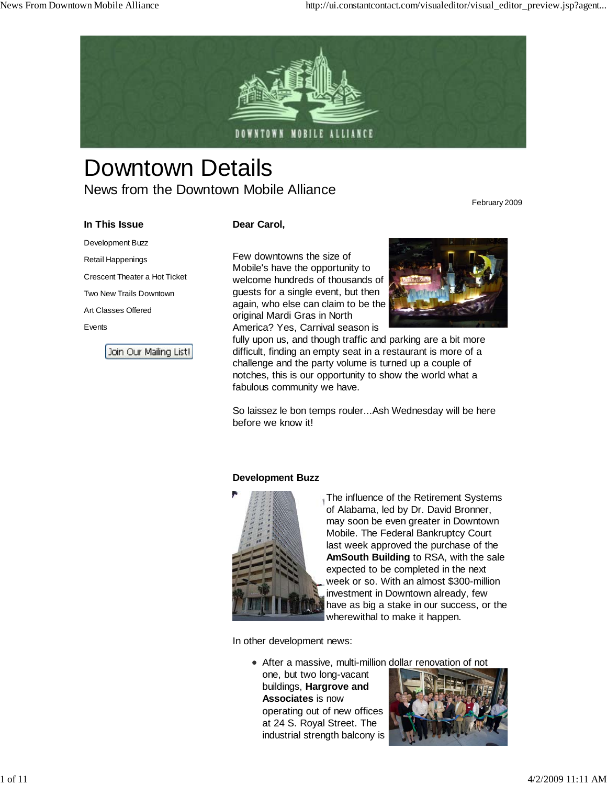

# Downtown Details News from the Downtown Mobile Alliance

February 2009

#### **In This Issue**

# **Dear Carol,**

Development Buzz Retail Happenings Crescent Theater a Hot Ticket Two New Trails Downtown Art Classes Offered Events

Join Our Mailing List!

Few downtowns the size of Mobile's have the opportunity to welcome hundreds of thousands of guests for a single event, but then again, who else can claim to be the original Mardi Gras in North America? Yes, Carnival season is



fully upon us, and though traffic and parking are a bit more difficult, finding an empty seat in a restaurant is more of a challenge and the party volume is turned up a couple of notches, this is our opportunity to show the world what a fabulous community we have.

So laissez le bon temps rouler...Ash Wednesday will be here before we know it!

#### **Development Buzz**



The influence of the Retirement Systems of Alabama, led by Dr. David Bronner, may soon be even greater in Downtown Mobile. The Federal Bankruptcy Court last week approved the purchase of the **AmSouth Building** to RSA, with the sale expected to be completed in the next week or so. With an almost \$300-million investment in Downtown already, few have as big a stake in our success, or the wherewithal to make it happen.

In other development news:

After a massive, multi-million dollar renovation of not one, but two long-vacant buildings, **Hargrove and Associates** is now operating out of new offices at 24 S. Royal Street. The industrial strength balcony is

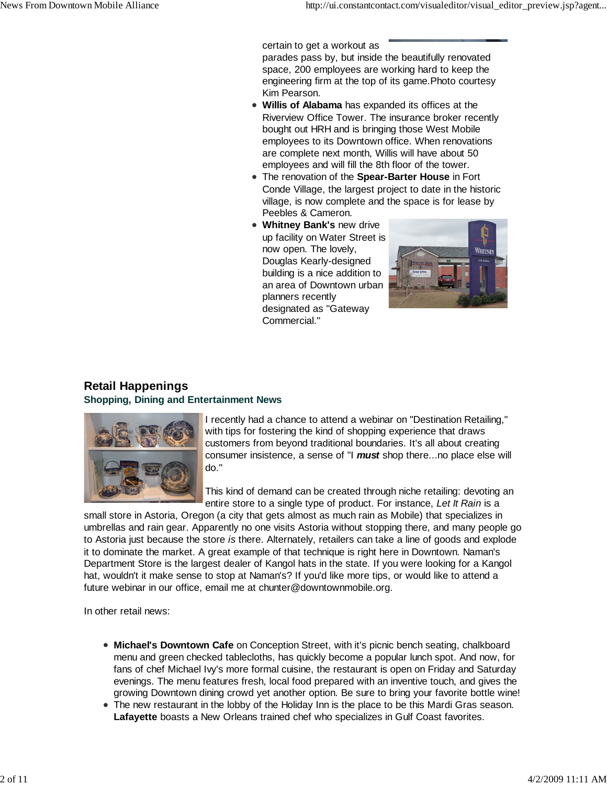certain to get a workout as parades pass by, but inside the beautifully renovated space, 200 employees are working hard to keep the engineering firm at the top of its game.Photo courtesy Kim Pearson.

- **Willis of Alabama** has expanded its offices at the Riverview Office Tower. The insurance broker recently bought out HRH and is bringing those West Mobile employees to its Downtown office. When renovations are complete next month, Willis will have about 50 employees and will fill the 8th floor of the tower.
- The renovation of the **Spear-Barter House** in Fort Conde Village, the largest project to date in the historic village, is now complete and the space is for lease by Peebles & Cameron.
- **Whitney Bank's** new drive up facility on Water Street is now open. The lovely, Douglas Kearly-designed building is a nice addition to an area of Downtown urban planners recently designated as "Gateway Commercial."



## **Retail Happenings Shopping, Dining and Entertainment News**



I recently had a chance to attend a webinar on "Destination Retailing," with tips for fostering the kind of shopping experience that draws customers from beyond traditional boundaries. It's all about creating consumer insistence, a sense of "I *must* shop there...no place else will do."

This kind of demand can be created through niche retailing: devoting an entire store to a single type of product. For instance, *Let It Rain* is a

small store in Astoria, Oregon (a city that gets almost as much rain as Mobile) that specializes in umbrellas and rain gear. Apparently no one visits Astoria without stopping there, and many people go to Astoria just because the store *is* there. Alternately, retailers can take a line of goods and explode it to dominate the market. A great example of that technique is right here in Downtown. Naman's Department Store is the largest dealer of Kangol hats in the state. If you were looking for a Kangol hat, wouldn't it make sense to stop at Naman's? If you'd like more tips, or would like to attend a future webinar in our office, email me at chunter@downtownmobile.org.

In other retail news:

- **Michael's Downtown Cafe** on Conception Street, with it's picnic bench seating, chalkboard menu and green checked tablecloths, has quickly become a popular lunch spot. And now, for fans of chef Michael Ivy's more formal cuisine, the restaurant is open on Friday and Saturday evenings. The menu features fresh, local food prepared with an inventive touch, and gives the growing Downtown dining crowd yet another option. Be sure to bring your favorite bottle wine!
- The new restaurant in the lobby of the Holiday Inn is the place to be this Mardi Gras season. **Lafayette** boasts a New Orleans trained chef who specializes in Gulf Coast favorites.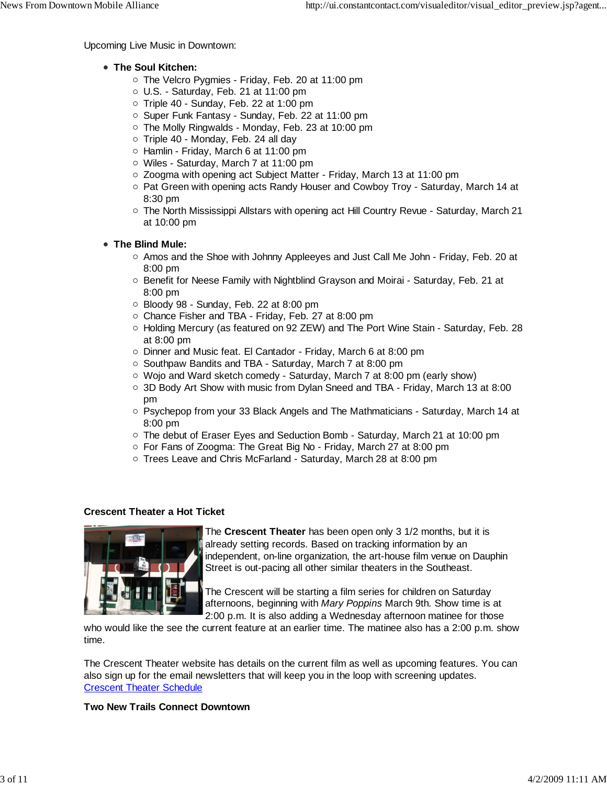Upcoming Live Music in Downtown:

### **The Soul Kitchen:**

- The Velcro Pygmies Friday, Feb. 20 at 11:00 pm
- U.S. Saturday, Feb. 21 at 11:00 pm
- Triple 40 Sunday, Feb. 22 at 1:00 pm
- O Super Funk Fantasy Sunday, Feb. 22 at 11:00 pm
- The Molly Ringwalds Monday, Feb. 23 at 10:00 pm
- o Triple 40 Monday, Feb. 24 all day
- $\circ$  Hamlin Friday, March 6 at 11:00 pm
- Wiles Saturday, March 7 at 11:00 pm
- Zoogma with opening act Subject Matter Friday, March 13 at 11:00 pm
- Pat Green with opening acts Randy Houser and Cowboy Troy Saturday, March 14 at 8:30 pm
- $\circ$  The North Mississippi Allstars with opening act Hill Country Revue Saturday, March 21 at 10:00 pm

### **The Blind Mule:**

- $\circ$  Amos and the Shoe with Johnny Appleeyes and Just Call Me John Friday, Feb. 20 at 8:00 pm
- $\circ$  Benefit for Neese Family with Nightblind Grayson and Moirai Saturday, Feb. 21 at 8:00 pm
- Bloody 98 Sunday, Feb. 22 at 8:00 pm
- Chance Fisher and TBA Friday, Feb. 27 at 8:00 pm
- $\circ$  Holding Mercury (as featured on 92 ZEW) and The Port Wine Stain Saturday, Feb. 28 at 8:00 pm
- Dinner and Music feat. El Cantador Friday, March 6 at 8:00 pm
- Southpaw Bandits and TBA Saturday, March 7 at 8:00 pm
- Wojo and Ward sketch comedy Saturday, March 7 at 8:00 pm (early show)
- 3D Body Art Show with music from Dylan Sneed and TBA Friday, March 13 at 8:00 pm
- Psychepop from your 33 Black Angels and The Mathmaticians Saturday, March 14 at 8:00 pm
- The debut of Eraser Eyes and Seduction Bomb Saturday, March 21 at 10:00 pm
- For Fans of Zoogma: The Great Big No Friday, March 27 at 8:00 pm
- Trees Leave and Chris McFarland Saturday, March 28 at 8:00 pm

### **Crescent Theater a Hot Ticket**



The **Crescent Theater** has been open only 3 1/2 months, but it is already setting records. Based on tracking information by an independent, on-line organization, the art-house film venue on Dauphin Street is out-pacing all other similar theaters in the Southeast.

The Crescent will be starting a film series for children on Saturday afternoons, beginning with *Mary Poppins* March 9th. Show time is at 2:00 p.m. It is also adding a Wednesday afternoon matinee for those

who would like the see the current feature at an earlier time. The matinee also has a 2:00 p.m. show time.

The Crescent Theater website has details on the current film as well as upcoming features. You can also sign up for the email newsletters that will keep you in the loop with screening updates. **Crescent Theater Schedule** 

#### **Two New Trails Connect Downtown**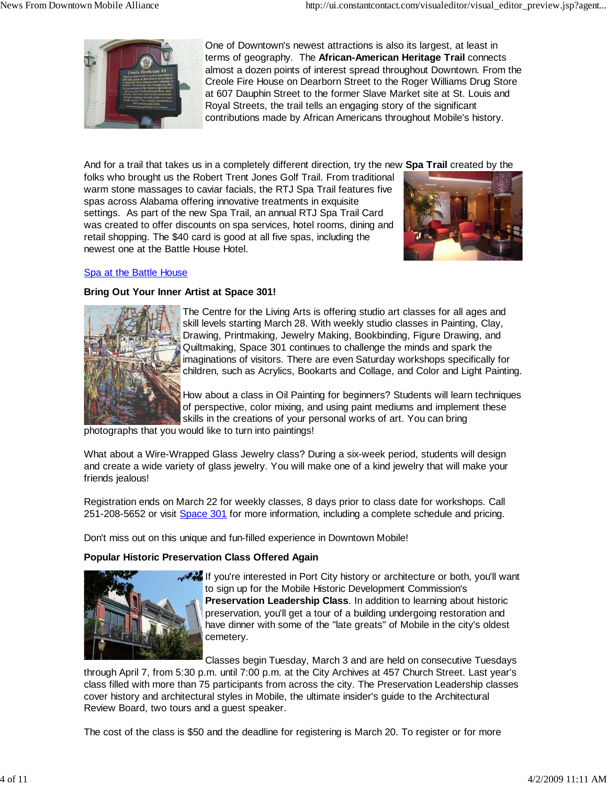

One of Downtown's newest attractions is also its largest, at least in terms of geography. The **African-American Heritage Trail** connects almost a dozen points of interest spread throughout Downtown. From the Creole Fire House on Dearborn Street to the Roger Williams Drug Store at 607 Dauphin Street to the former Slave Market site at St. Louis and Royal Streets, the trail tells an engaging story of the significant contributions made by African Americans throughout Mobile's history.

And for a trail that takes us in a completely different direction, try the new **Spa Trail** created by the

folks who brought us the Robert Trent Jones Golf Trail. From traditional warm stone massages to caviar facials, the RTJ Spa Trail features five spas across Alabama offering innovative treatments in exquisite settings. As part of the new Spa Trail, an annual RTJ Spa Trail Card was created to offer discounts on spa services, hotel rooms, dining and retail shopping. The \$40 card is good at all five spas, including the newest one at the Battle House Hotel.



#### Spa at the Battle House

#### **Bring Out Your Inner Artist at Space 301!**



The Centre for the Living Arts is offering studio art classes for all ages and skill levels starting March 28. With weekly studio classes in Painting, Clay, Drawing, Printmaking, Jewelry Making, Bookbinding, Figure Drawing, and Quiltmaking, Space 301 continues to challenge the minds and spark the imaginations of visitors. There are even Saturday workshops specifically for children, such as Acrylics, Bookarts and Collage, and Color and Light Painting.

How about a class in Oil Painting for beginners? Students will learn techniques of perspective, color mixing, and using paint mediums and implement these skills in the creations of your personal works of art. You can bring

photographs that you would like to turn into paintings!

What about a Wire-Wrapped Glass Jewelry class? During a six-week period, students will design and create a wide variety of glass jewelry. You will make one of a kind jewelry that will make your friends jealous!

Registration ends on March 22 for weekly classes, 8 days prior to class date for workshops. Call 251-208-5652 or visit Space 301 for more information, including a complete schedule and pricing.

Don't miss out on this unique and fun-filled experience in Downtown Mobile!

#### **Popular Historic Preservation Class Offered Again**



If you're interested in Port City history or architecture or both, you'll want to sign up for the Mobile Historic Development Commission's **Preservation Leadership Class**. In addition to learning about historic preservation, you'll get a tour of a building undergoing restoration and have dinner with some of the "late greats" of Mobile in the city's oldest cemetery.

Classes begin Tuesday, March 3 and are held on consecutive Tuesdays through April 7, from 5:30 p.m. until 7:00 p.m. at the City Archives at 457 Church Street. Last year's class filled with more than 75 participants from across the city. The Preservation Leadership classes cover history and architectural styles in Mobile, the ultimate insider's guide to the Architectural Review Board, two tours and a guest speaker.

The cost of the class is \$50 and the deadline for registering is March 20. To register or for more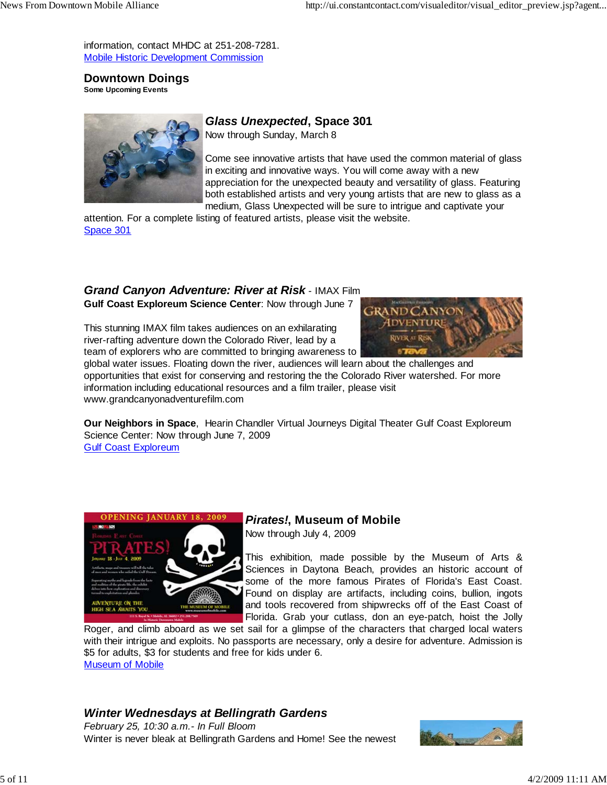information, contact MHDC at 251-208-7281. Mobile Historic Development Commission

**Downtown Doings Some Upcoming Events**



## *Glass Unexpected***, Space 301**

Now through Sunday, March 8

Come see innovative artists that have used the common material of glass in exciting and innovative ways. You will come away with a new appreciation for the unexpected beauty and versatility of glass. Featuring both established artists and very young artists that are new to glass as a medium, Glass Unexpected will be sure to intrigue and captivate your

attention. For a complete listing of featured artists, please visit the website. Space 301

#### *Grand Canyon Adventure: River at Risk* - IMAX Film **Gulf Coast Exploreum Science Center**: Now through June 7

This stunning IMAX film takes audiences on an exhilarating river-rafting adventure down the Colorado River, lead by a team of explorers who are committed to bringing awareness to



global water issues. Floating down the river, audiences will learn about the challenges and opportunities that exist for conserving and restoring the the Colorado River watershed. For more information including educational resources and a film trailer, please visit www.grandcanyonadventurefilm.com

**Our Neighbors in Space**, Hearin Chandler Virtual Journeys Digital Theater Gulf Coast Exploreum Science Center: Now through June 7, 2009 Gulf Coast Exploreum



## *Pirates!***, Museum of Mobile**

Now through July 4, 2009

This exhibition, made possible by the Museum of Arts & Sciences in Daytona Beach, provides an historic account of some of the more famous Pirates of Florida's East Coast. Found on display are artifacts, including coins, bullion, ingots and tools recovered from shipwrecks off of the East Coast of Florida. Grab your cutlass, don an eye-patch, hoist the Jolly

Roger, and climb aboard as we set sail for a glimpse of the characters that charged local waters with their intrigue and exploits. No passports are necessary, only a desire for adventure. Admission is \$5 for adults, \$3 for students and free for kids under 6. Museum of Mobile

## *Winter Wednesdays at Bellingrath Gardens*

*February 25, 10:30 a.m.- In Full Bloom* Winter is never bleak at Bellingrath Gardens and Home! See the newest

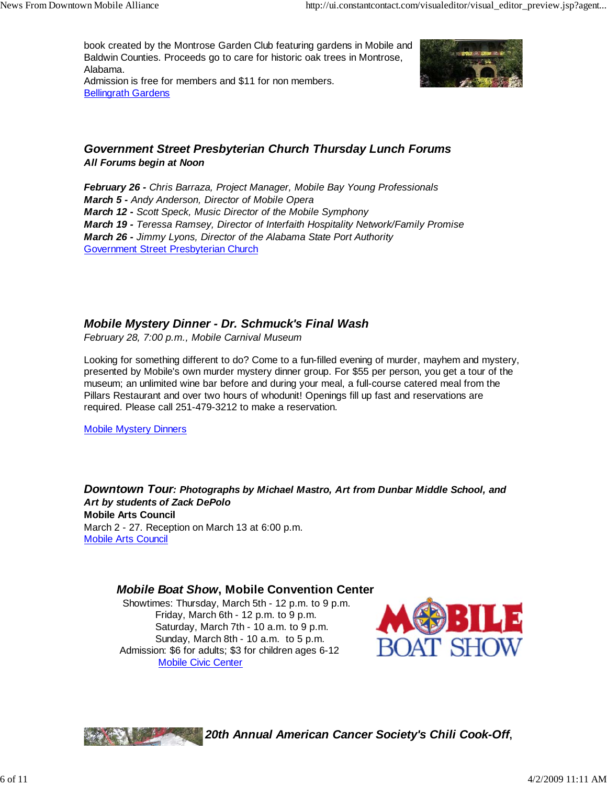book created by the Montrose Garden Club featuring gardens in Mobile and Baldwin Counties. Proceeds go to care for historic oak trees in Montrose, Alabama. Admission is free for members and \$11 for non members.



## Bellingrath Gardens

### *Government Street Presbyterian Church Thursday Lunch Forums All Forums begin at Noon*

*February 26 - Chris Barraza, Project Manager, Mobile Bay Young Professionals March 5 - Andy Anderson, Director of Mobile Opera March 12* **-** *Scott Speck, Music Director of the Mobile Symphony March 19 - Teressa Ramsey, Director of Interfaith Hospitality Network/Family Promise March 26 - Jimmy Lyons, Director of the Alabama State Port Authority* Government Street Presbyterian Church

## *Mobile Mystery Dinner - Dr. Schmuck's Final Wash*

*February 28, 7:00 p.m., Mobile Carnival Museum*

Looking for something different to do? Come to a fun-filled evening of murder, mayhem and mystery, presented by Mobile's own murder mystery dinner group. For \$55 per person, you get a tour of the museum; an unlimited wine bar before and during your meal, a full-course catered meal from the Pillars Restaurant and over two hours of whodunit! Openings fill up fast and reservations are required. Please call 251-479-3212 to make a reservation.

Mobile Mystery Dinners

*Downtown Tour: Photographs by Michael Mastro, Art from Dunbar Middle School, and Art by students of Zack DePolo* **Mobile Arts Council** March 2 - 27. Reception on March 13 at 6:00 p.m. Mobile Arts Council

#### *Mobile Boat Show***, Mobile Convention Center**

 Showtimes: Thursday, March 5th - 12 p.m. to 9 p.m. Friday, March 6th - 12 p.m. to 9 p.m. Saturday, March 7th - 10 a.m. to 9 p.m. Sunday, March 8th - 10 a.m. to 5 p.m. Admission: \$6 for adults; \$3 for children ages 6-12 Mobile Civic Center



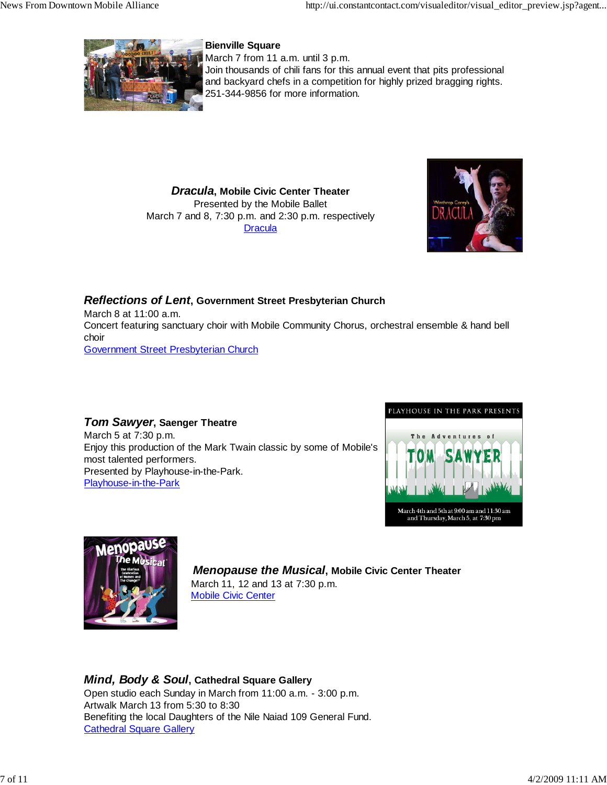

#### **Bienville Square**

March 7 from 11 a.m. until 3 p.m. Join thousands of chili fans for this annual event that pits professional and backyard chefs in a competition for highly prized bragging rights. 251-344-9856 for more information.

 *Dracula***, Mobile Civic Center Theater** Presented by the Mobile Ballet March 7 and 8, 7:30 p.m. and 2:30 p.m. respectively **Dracula** 



*Reflections of Lent***, Government Street Presbyterian Church** March 8 at 11:00 a.m. Concert featuring sanctuary choir with Mobile Community Chorus, orchestral ensemble & hand bell choir Government Street Presbyterian Church

### *Tom Sawyer***, Saenger Theatre**

March 5 at 7:30 p.m. Enjoy this production of the Mark Twain classic by some of Mobile's most talented performers. Presented by Playhouse-in-the-Park. Playhouse-in-the-Park





 *Menopause the Musical***, Mobile Civic Center Theater** March 11, 12 and 13 at 7:30 p.m. Mobile Civic Center

### *Mind, Body & Soul***, Cathedral Square Gallery**

Open studio each Sunday in March from 11:00 a.m. - 3:00 p.m. Artwalk March 13 from 5:30 to 8:30 Benefiting the local Daughters of the Nile Naiad 109 General Fund. Cathedral Square Gallery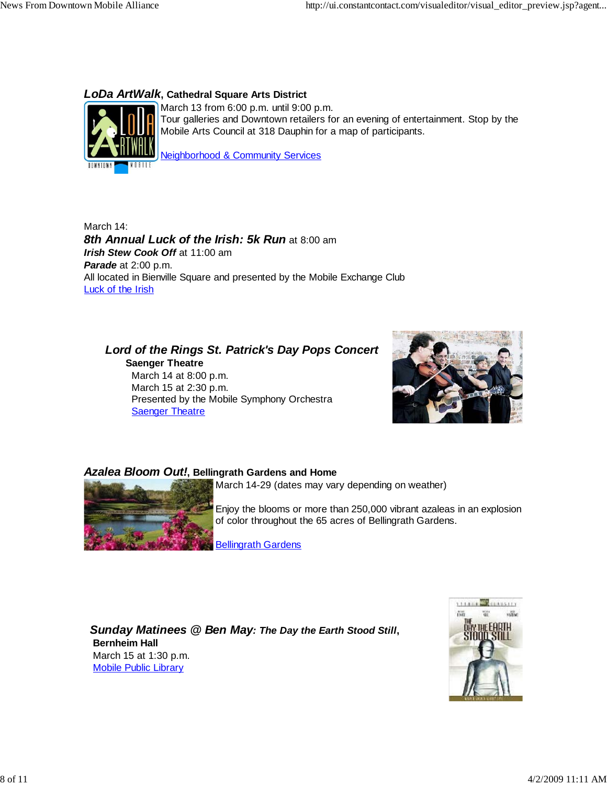## *LoDa ArtWalk***, Cathedral Square Arts District**



March 13 from 6:00 p.m. until 9:00 p.m. Tour galleries and Downtown retailers for an evening of entertainment. Stop by the Mobile Arts Council at 318 Dauphin for a map of participants.

Neighborhood & Community Services

March 14: *8th Annual Luck of the Irish: 5k Run* at 8:00 am *Irish Stew Cook Off* at 11:00 am *Parade* at 2:00 p.m. All located in Bienville Square and presented by the Mobile Exchange Club Luck of the Irish

 *Lord of the Rings St. Patrick's Day Pops Concert* **Saenger Theatre** March 14 at 8:00 p.m. March 15 at 2:30 p.m. Presented by the Mobile Symphony Orchestra



## *Azalea Bloom Out!***, Bellingrath Gardens and Home**



**Saenger Theatre** 

March 14-29 (dates may vary depending on weather)

Enjoy the blooms or more than 250,000 vibrant azaleas in an explosion of color throughout the 65 acres of Bellingrath Gardens.

Bellingrath Gardens

 *Sunday Matinees @ Ben May: The Day the Earth Stood Still***, Bernheim Hall** March 15 at 1:30 p.m. Mobile Public Library

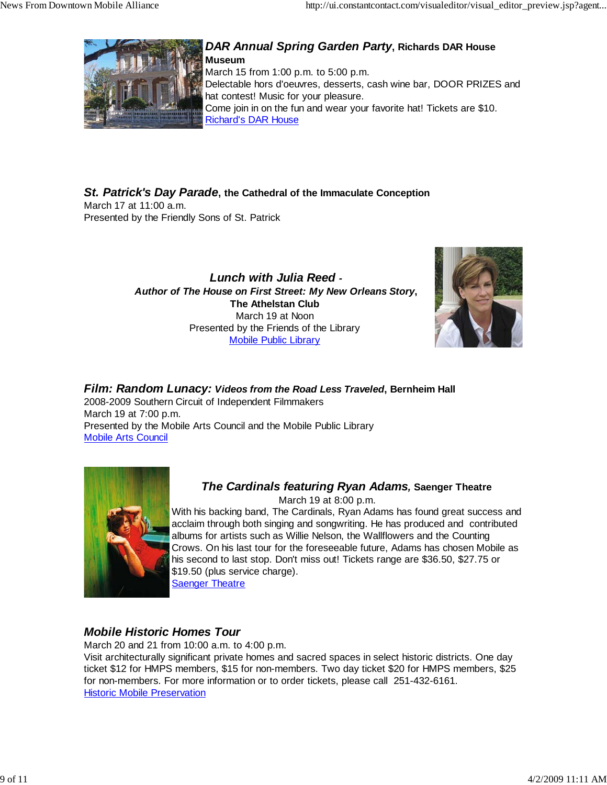

#### *DAR Annual Spring Garden Party***, Richards DAR House Museum** March 15 from 1:00 p.m. to 5:00 p.m. Delectable hors d'oeuvres, desserts, cash wine bar, DOOR PRIZES and hat contest! Music for your pleasure. Come join in on the fun and wear your favorite hat! Tickets are \$10. Richard's DAR House

*St. Patrick's Day Parade***, the Cathedral of the Immaculate Conception** March 17 at 11:00 a.m.

Presented by the Friendly Sons of St. Patrick

#### *Lunch with Julia Reed - Author of The House on First Street: My New Orleans Story***, The Athelstan Club** March 19 at Noon Presented by the Friends of the Library Mobile Public Library



*Film: Random Lunacy: Videos from the Road Less Traveled***, Bernheim Hall**

2008-2009 Southern Circuit of Independent Filmmakers March 19 at 7:00 p.m. Presented by the Mobile Arts Council and the Mobile Public Library Mobile Arts Council



## *The Cardinals featuring Ryan Adams,* **Saenger Theatre**

March 19 at 8:00 p.m.

With his backing band, The Cardinals, Ryan Adams has found great success and acclaim through both singing and songwriting. He has produced and contributed albums for artists such as Willie Nelson, the Wallflowers and the Counting Crows. On his last tour for the foreseeable future, Adams has chosen Mobile as his second to last stop. Don't miss out! Tickets range are \$36.50, \$27.75 or \$19.50 (plus service charge). **Saenger Theatre** 

## *Mobile Historic Homes Tour*

March 20 and 21 from 10:00 a.m. to 4:00 p.m. Visit architecturally significant private homes and sacred spaces in select historic districts. One day ticket \$12 for HMPS members, \$15 for non-members. Two day ticket \$20 for HMPS members, \$25 for non-members. For more information or to order tickets, please call 251-432-6161. **Historic Mobile Preservation**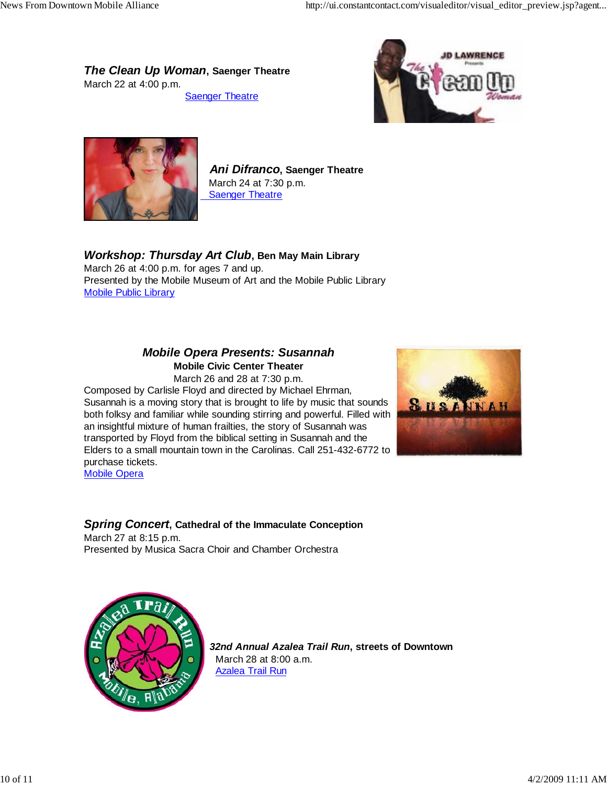*The Clean Up Woman***, Saenger Theatre** March 22 at 4:00 p.m.

Saenger Theatre





 *Ani Difranco***, Saenger Theatre** March 24 at 7:30 p.m. Saenger Theatre

### *Workshop: Thursday Art Club***, Ben May Main Library**

March 26 at 4:00 p.m. for ages 7 and up. Presented by the Mobile Museum of Art and the Mobile Public Library Mobile Public Library

## *Mobile Opera Presents: Susannah* **Mobile Civic Center Theater**

March 26 and 28 at 7:30 p.m. Composed by Carlisle Floyd and directed by Michael Ehrman, Susannah is a moving story that is brought to life by music that sounds both folksy and familiar while sounding stirring and powerful. Filled with an insightful mixture of human frailties, the story of Susannah was transported by Floyd from the biblical setting in Susannah and the Elders to a small mountain town in the Carolinas. Call 251-432-6772 to purchase tickets. Mobile Opera



#### *Spring Concert***, Cathedral of the Immaculate Conception** March 27 at 8:15 p.m.

Presented by Musica Sacra Choir and Chamber Orchestra



 *32nd Annual Azalea Trail Run***, streets of Downtown** March 28 at 8:00 a.m. Azalea Trail Run